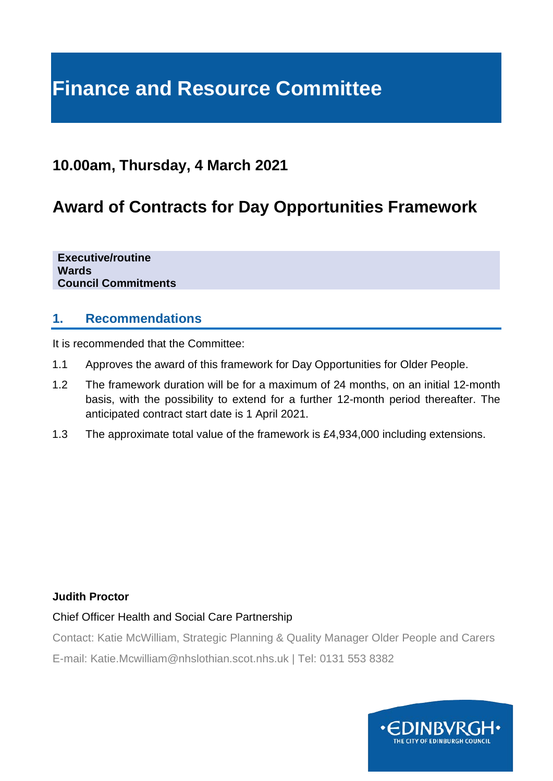# **Finance and Resource Committee**

## **10.00am, Thursday, 4 March 2021**

# **Award of Contracts for Day Opportunities Framework**

**Executive/routine Wards Council Commitments**

### **1. Recommendations**

It is recommended that the Committee:

- 1.1 Approves the award of this framework for Day Opportunities for Older People.
- 1.2 The framework duration will be for a maximum of 24 months, on an initial 12-month basis, with the possibility to extend for a further 12-month period thereafter. The anticipated contract start date is 1 April 2021.
- 1.3 The approximate total value of the framework is £4,934,000 including extensions.

#### **Judith Proctor**

#### Chief Officer Health and Social Care Partnership

Contact: Katie McWilliam, Strategic Planning & Quality Manager Older People and Carers

E-mail: Katie.Mcwilliam@nhslothian.scot.nhs.uk | Tel: 0131 553 8382

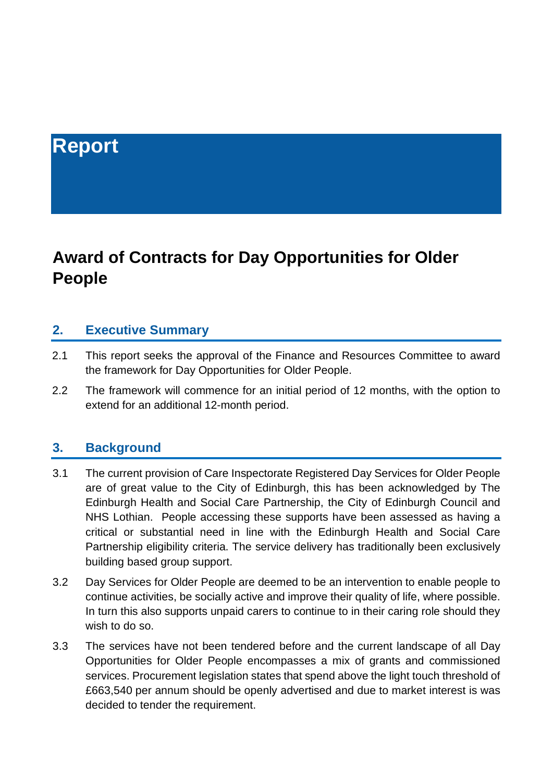# **Report**

# **Award of Contracts for Day Opportunities for Older People**

#### **2. Executive Summary**

- 2.1 This report seeks the approval of the Finance and Resources Committee to award the framework for Day Opportunities for Older People.
- 2.2 The framework will commence for an initial period of 12 months, with the option to extend for an additional 12-month period.

#### **3. Background**

- 3.1 The current provision of Care Inspectorate Registered Day Services for Older People are of great value to the City of Edinburgh, this has been acknowledged by The Edinburgh Health and Social Care Partnership, the City of Edinburgh Council and NHS Lothian. People accessing these supports have been assessed as having a critical or substantial need in line with the Edinburgh Health and Social Care Partnership eligibility criteria. The service delivery has traditionally been exclusively building based group support.
- 3.2 Day Services for Older People are deemed to be an intervention to enable people to continue activities, be socially active and improve their quality of life, where possible. In turn this also supports unpaid carers to continue to in their caring role should they wish to do so.
- 3.3 The services have not been tendered before and the current landscape of all Day Opportunities for Older People encompasses a mix of grants and commissioned services. Procurement legislation states that spend above the light touch threshold of £663,540 per annum should be openly advertised and due to market interest is was decided to tender the requirement.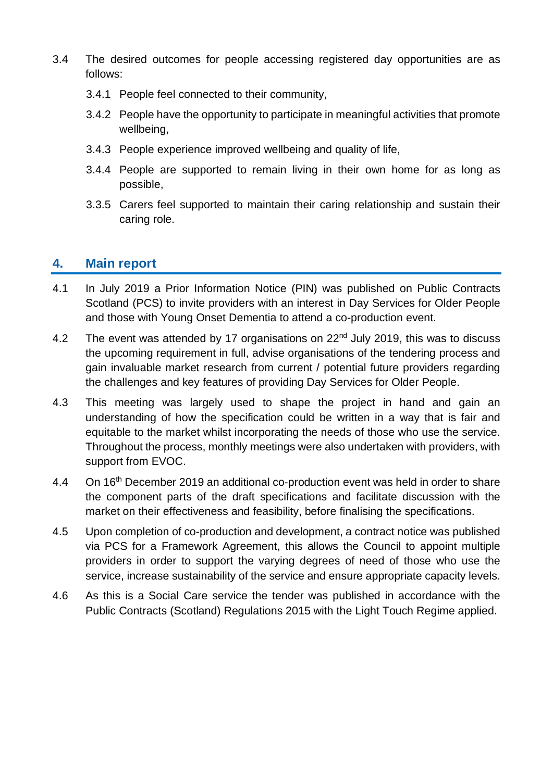- 3.4 The desired outcomes for people accessing registered day opportunities are as follows:
	- 3.4.1 People feel connected to their community,
	- 3.4.2 People have the opportunity to participate in meaningful activities that promote wellbeing,
	- 3.4.3 People experience improved wellbeing and quality of life,
	- 3.4.4 People are supported to remain living in their own home for as long as possible,
	- 3.3.5 Carers feel supported to maintain their caring relationship and sustain their caring role.

### **4. Main report**

- 4.1 In July 2019 a Prior Information Notice (PIN) was published on Public Contracts Scotland (PCS) to invite providers with an interest in Day Services for Older People and those with Young Onset Dementia to attend a co-production event.
- 4.2 The event was attended by 17 organisations on 22<sup>nd</sup> July 2019, this was to discuss the upcoming requirement in full, advise organisations of the tendering process and gain invaluable market research from current / potential future providers regarding the challenges and key features of providing Day Services for Older People.
- 4.3 This meeting was largely used to shape the project in hand and gain an understanding of how the specification could be written in a way that is fair and equitable to the market whilst incorporating the needs of those who use the service. Throughout the process, monthly meetings were also undertaken with providers, with support from EVOC.
- 4.4 On 16<sup>th</sup> December 2019 an additional co-production event was held in order to share the component parts of the draft specifications and facilitate discussion with the market on their effectiveness and feasibility, before finalising the specifications.
- 4.5 Upon completion of co-production and development, a contract notice was published via PCS for a Framework Agreement, this allows the Council to appoint multiple providers in order to support the varying degrees of need of those who use the service, increase sustainability of the service and ensure appropriate capacity levels.
- 4.6 As this is a Social Care service the tender was published in accordance with the Public Contracts (Scotland) Regulations 2015 with the Light Touch Regime applied.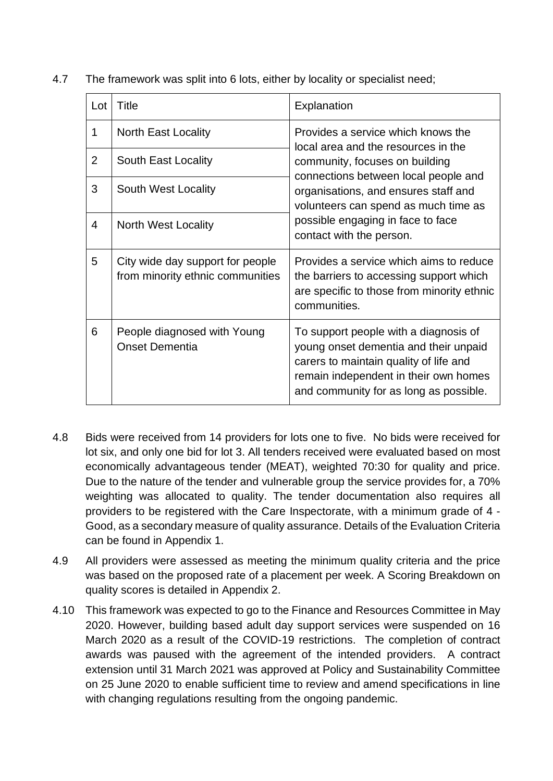| Lot | Title                                                                | Explanation                                                                                                                                                                                                                                                                                          |
|-----|----------------------------------------------------------------------|------------------------------------------------------------------------------------------------------------------------------------------------------------------------------------------------------------------------------------------------------------------------------------------------------|
| 1   | <b>North East Locality</b>                                           | Provides a service which knows the<br>local area and the resources in the<br>community, focuses on building<br>connections between local people and<br>organisations, and ensures staff and<br>volunteers can spend as much time as<br>possible engaging in face to face<br>contact with the person. |
| 2   | South East Locality                                                  |                                                                                                                                                                                                                                                                                                      |
| 3   | South West Locality                                                  |                                                                                                                                                                                                                                                                                                      |
| 4   | <b>North West Locality</b>                                           |                                                                                                                                                                                                                                                                                                      |
| 5   | City wide day support for people<br>from minority ethnic communities | Provides a service which aims to reduce<br>the barriers to accessing support which<br>are specific to those from minority ethnic<br>communities.                                                                                                                                                     |
| 6   | People diagnosed with Young<br><b>Onset Dementia</b>                 | To support people with a diagnosis of<br>young onset dementia and their unpaid<br>carers to maintain quality of life and<br>remain independent in their own homes<br>and community for as long as possible.                                                                                          |

4.7 The framework was split into 6 lots, either by locality or specialist need;

- 4.8 Bids were received from 14 providers for lots one to five. No bids were received for lot six, and only one bid for lot 3. All tenders received were evaluated based on most economically advantageous tender (MEAT), weighted 70:30 for quality and price. Due to the nature of the tender and vulnerable group the service provides for, a 70% weighting was allocated to quality. The tender documentation also requires all providers to be registered with the Care Inspectorate, with a minimum grade of 4 - Good, as a secondary measure of quality assurance. Details of the Evaluation Criteria can be found in Appendix 1.
- 4.9 All providers were assessed as meeting the minimum quality criteria and the price was based on the proposed rate of a placement per week. A Scoring Breakdown on quality scores is detailed in Appendix 2.
- 4.10 This framework was expected to go to the Finance and Resources Committee in May 2020. However, building based adult day support services were suspended on 16 March 2020 as a result of the COVID-19 restrictions. The completion of contract awards was paused with the agreement of the intended providers. A contract extension until 31 March 2021 was approved at Policy and Sustainability Committee on 25 June 2020 to enable sufficient time to review and amend specifications in line with changing regulations resulting from the ongoing pandemic.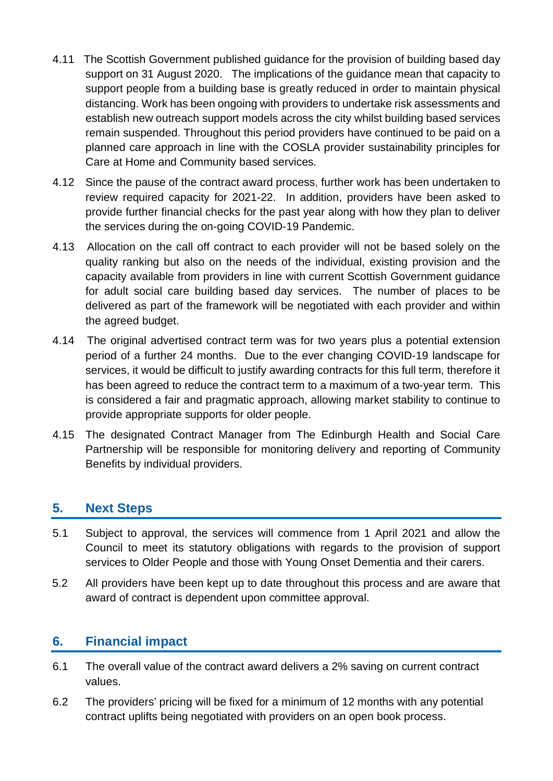- 4.11 The Scottish Government published guidance for the provision of building based day support on 31 August 2020. The implications of the guidance mean that capacity to support people from a building base is greatly reduced in order to maintain physical distancing. Work has been ongoing with providers to undertake risk assessments and establish new outreach support models across the city whilst building based services remain suspended. Throughout this period providers have continued to be paid on a planned care approach in line with the COSLA provider sustainability principles for Care at Home and Community based services.
- 4.12 Since the pause of the contract award process, further work has been undertaken to review required capacity for 2021-22. In addition, providers have been asked to provide further financial checks for the past year along with how they plan to deliver the services during the on-going COVID-19 Pandemic.
- 4.13 Allocation on the call off contract to each provider will not be based solely on the quality ranking but also on the needs of the individual, existing provision and the capacity available from providers in line with current Scottish Government guidance for adult social care building based day services. The number of places to be delivered as part of the framework will be negotiated with each provider and within the agreed budget.
- 4.14 The original advertised contract term was for two years plus a potential extension period of a further 24 months. Due to the ever changing COVID-19 landscape for services, it would be difficult to justify awarding contracts for this full term, therefore it has been agreed to reduce the contract term to a maximum of a two-year term. This is considered a fair and pragmatic approach, allowing market stability to continue to provide appropriate supports for older people.
- 4.15 The designated Contract Manager from The Edinburgh Health and Social Care Partnership will be responsible for monitoring delivery and reporting of Community Benefits by individual providers.

## **5. Next Steps**

- 5.1 Subject to approval, the services will commence from 1 April 2021 and allow the Council to meet its statutory obligations with regards to the provision of support services to Older People and those with Young Onset Dementia and their carers.
- 5.2 All providers have been kept up to date throughout this process and are aware that award of contract is dependent upon committee approval.

## **6. Financial impact**

- 6.1 The overall value of the contract award delivers a 2% saving on current contract values.
- 6.2 The providers' pricing will be fixed for a minimum of 12 months with any potential contract uplifts being negotiated with providers on an open book process.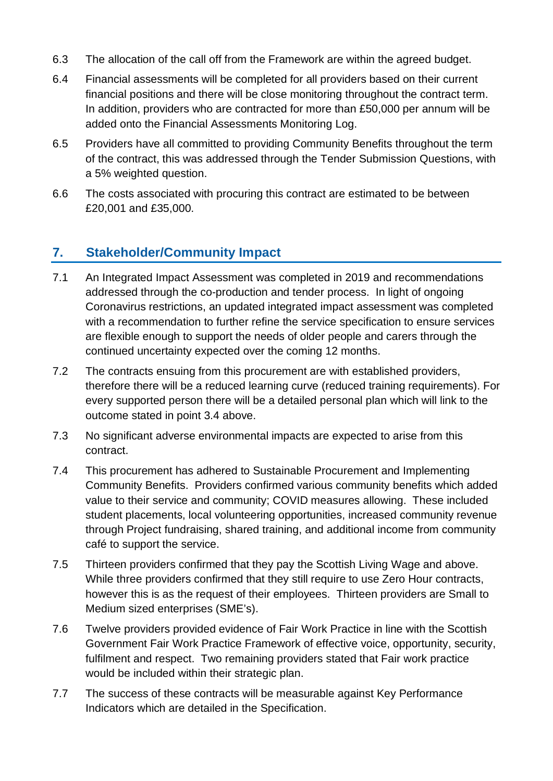- 6.3 The allocation of the call off from the Framework are within the agreed budget.
- 6.4 Financial assessments will be completed for all providers based on their current financial positions and there will be close monitoring throughout the contract term. In addition, providers who are contracted for more than £50,000 per annum will be added onto the Financial Assessments Monitoring Log.
- 6.5 Providers have all committed to providing Community Benefits throughout the term of the contract, this was addressed through the Tender Submission Questions, with a 5% weighted question.
- 6.6 The costs associated with procuring this contract are estimated to be between £20,001 and £35,000.

## **7. Stakeholder/Community Impact**

- 7.1 An Integrated Impact Assessment was completed in 2019 and recommendations addressed through the co-production and tender process. In light of ongoing Coronavirus restrictions, an updated integrated impact assessment was completed with a recommendation to further refine the service specification to ensure services are flexible enough to support the needs of older people and carers through the continued uncertainty expected over the coming 12 months.
- 7.2 The contracts ensuing from this procurement are with established providers, therefore there will be a reduced learning curve (reduced training requirements). For every supported person there will be a detailed personal plan which will link to the outcome stated in point 3.4 above.
- 7.3 No significant adverse environmental impacts are expected to arise from this contract.
- 7.4 This procurement has adhered to Sustainable Procurement and Implementing Community Benefits. Providers confirmed various community benefits which added value to their service and community; COVID measures allowing. These included student placements, local volunteering opportunities, increased community revenue through Project fundraising, shared training, and additional income from community café to support the service.
- 7.5 Thirteen providers confirmed that they pay the Scottish Living Wage and above. While three providers confirmed that they still require to use Zero Hour contracts, however this is as the request of their employees. Thirteen providers are Small to Medium sized enterprises (SME's).
- 7.6 Twelve providers provided evidence of Fair Work Practice in line with the Scottish Government Fair Work Practice Framework of effective voice, opportunity, security, fulfilment and respect. Two remaining providers stated that Fair work practice would be included within their strategic plan.
- 7.7 The success of these contracts will be measurable against Key Performance Indicators which are detailed in the Specification.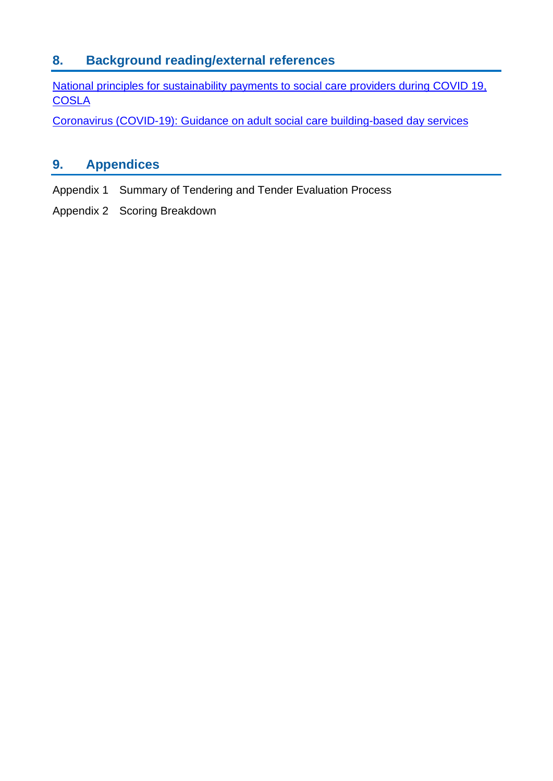## **8. Background reading/external references**

[National principles for sustainability payments to social care providers during COVID 19,](https://www.cosla.gov.uk/__data/assets/pdf_file/0025/17917/31-07-20-Provider-Sustainability-Principles.pdf)  **[COSLA](https://www.cosla.gov.uk/__data/assets/pdf_file/0025/17917/31-07-20-Provider-Sustainability-Principles.pdf)** 

[Coronavirus \(COVID-19\): Guidance on adult social care building-based day services](https://www.gov.scot/publications/coronavirus-covid-19-guidance-on-adult-social-care-building-based-day-services/pages/infection-prevention-and-control/)

## **9. Appendices**

- Appendix 1 Summary of Tendering and Tender Evaluation Process
- Appendix 2 Scoring Breakdown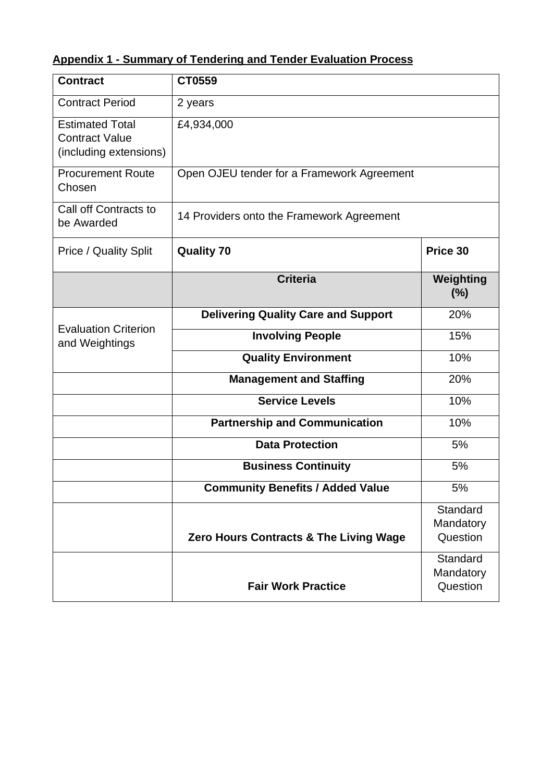## **Appendix 1 - Summary of Tendering and Tender Evaluation Process**

| <b>Contract</b>                                                           | CT0559                                     |                                   |  |
|---------------------------------------------------------------------------|--------------------------------------------|-----------------------------------|--|
| <b>Contract Period</b>                                                    | 2 years                                    |                                   |  |
| <b>Estimated Total</b><br><b>Contract Value</b><br>(including extensions) | £4,934,000                                 |                                   |  |
| <b>Procurement Route</b><br>Chosen                                        | Open OJEU tender for a Framework Agreement |                                   |  |
| Call off Contracts to<br>be Awarded                                       | 14 Providers onto the Framework Agreement  |                                   |  |
| Price / Quality Split<br><b>Quality 70</b>                                |                                            | Price 30                          |  |
|                                                                           | <b>Criteria</b>                            | Weighting<br>$(\% )$              |  |
|                                                                           | <b>Delivering Quality Care and Support</b> | 20%                               |  |
| <b>Evaluation Criterion</b><br>and Weightings                             | <b>Involving People</b>                    | 15%                               |  |
|                                                                           | <b>Quality Environment</b>                 | 10%                               |  |
|                                                                           | <b>Management and Staffing</b>             | 20%                               |  |
|                                                                           | <b>Service Levels</b>                      | 10%                               |  |
|                                                                           | <b>Partnership and Communication</b>       | 10%                               |  |
|                                                                           | <b>Data Protection</b>                     | 5%                                |  |
|                                                                           | <b>Business Continuity</b>                 | 5%                                |  |
|                                                                           | <b>Community Benefits / Added Value</b>    | 5%                                |  |
|                                                                           | Zero Hours Contracts & The Living Wage     | Standard<br>Mandatory<br>Question |  |
|                                                                           | <b>Fair Work Practice</b>                  | Standard<br>Mandatory<br>Question |  |